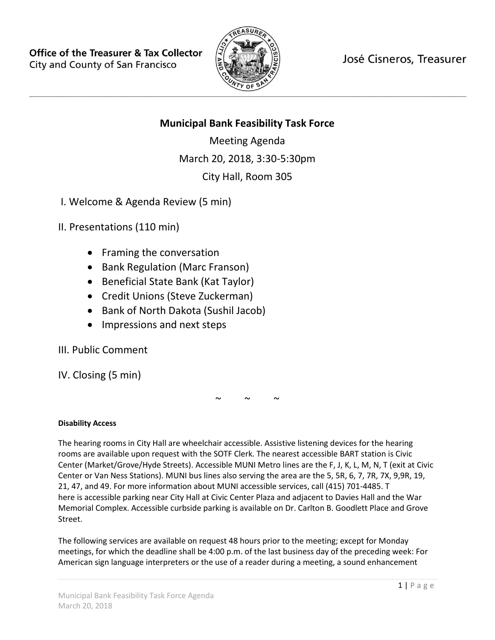

José Cisneros, Treasurer

# **Municipal Bank Feasibility Task Force**

Meeting Agenda March 20, 2018, 3:30-5:30pm City Hall, Room 305

I. Welcome & Agenda Review (5 min)

II. Presentations (110 min)

- Framing the conversation
- Bank Regulation (Marc Franson)
- Beneficial State Bank (Kat Taylor)
- Credit Unions (Steve Zuckerman)
- Bank of North Dakota (Sushil Jacob)
- Impressions and next steps

III. Public Comment

IV. Closing (5 min)

 $\sim$   $\sim$   $\sim$ 

## **Disability Access**

The hearing rooms in City Hall are wheelchair accessible. Assistive listening devices for the hearing rooms are available upon request with the SOTF Clerk. The nearest accessible BART station is Civic Center (Market/Grove/Hyde Streets). Accessible MUNI Metro lines are the F, J, K, L, M, N, T (exit at Civic Center or Van Ness Stations). MUNI bus lines also serving the area are the 5, 5R, 6, 7, 7R, 7X, 9,9R, 19, 21, 47, and 49. For more information about MUNI accessible services, call (415) 701-4485. T here is accessible parking near City Hall at Civic Center Plaza and adjacent to Davies Hall and the War Memorial Complex. Accessible curbside parking is available on Dr. Carlton B. Goodlett Place and Grove Street.

The following services are available on request 48 hours prior to the meeting; except for Monday meetings, for which the deadline shall be 4:00 p.m. of the last business day of the preceding week: For American sign language interpreters or the use of a reader during a meeting, a sound enhancement